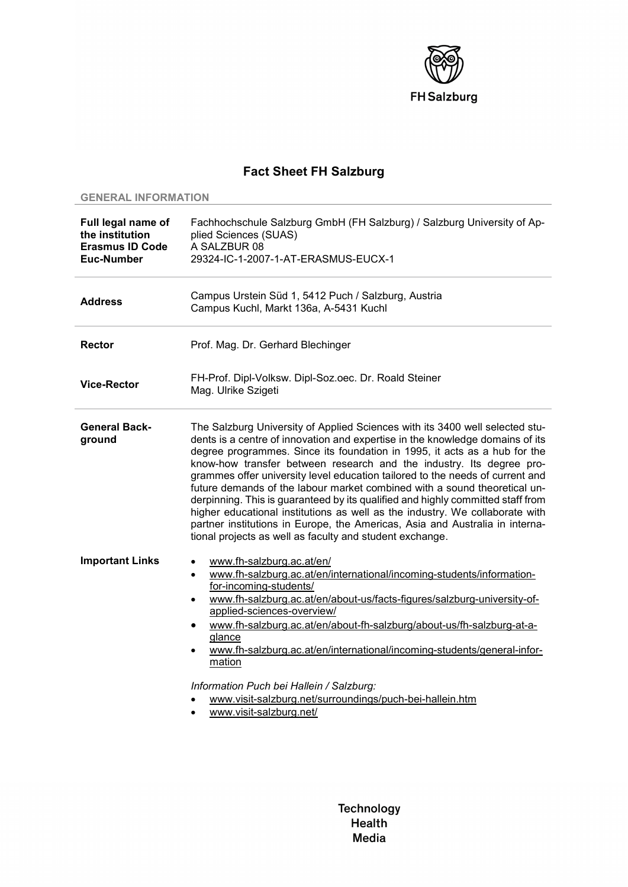

## **Fact Sheet FH Salzburg**

## **GENERAL INFORMATION**

| Full legal name of<br>the institution<br><b>Erasmus ID Code</b><br>Euc-Number | Fachhochschule Salzburg GmbH (FH Salzburg) / Salzburg University of Ap-<br>plied Sciences (SUAS)<br>A SALZBUR 08<br>29324-IC-1-2007-1-AT-ERASMUS-EUCX-1                                                                                                                                                                                                                                                                                                                                                                                                                                                                                                                                                                                                                                         |
|-------------------------------------------------------------------------------|-------------------------------------------------------------------------------------------------------------------------------------------------------------------------------------------------------------------------------------------------------------------------------------------------------------------------------------------------------------------------------------------------------------------------------------------------------------------------------------------------------------------------------------------------------------------------------------------------------------------------------------------------------------------------------------------------------------------------------------------------------------------------------------------------|
| <b>Address</b>                                                                | Campus Urstein Süd 1, 5412 Puch / Salzburg, Austria<br>Campus Kuchl, Markt 136a, A-5431 Kuchl                                                                                                                                                                                                                                                                                                                                                                                                                                                                                                                                                                                                                                                                                                   |
| <b>Rector</b>                                                                 | Prof. Mag. Dr. Gerhard Blechinger                                                                                                                                                                                                                                                                                                                                                                                                                                                                                                                                                                                                                                                                                                                                                               |
| <b>Vice-Rector</b>                                                            | FH-Prof. Dipl-Volksw. Dipl-Soz.oec. Dr. Roald Steiner<br>Mag. Ulrike Szigeti                                                                                                                                                                                                                                                                                                                                                                                                                                                                                                                                                                                                                                                                                                                    |
| <b>General Back-</b><br>ground                                                | The Salzburg University of Applied Sciences with its 3400 well selected stu-<br>dents is a centre of innovation and expertise in the knowledge domains of its<br>degree programmes. Since its foundation in 1995, it acts as a hub for the<br>know-how transfer between research and the industry. Its degree pro-<br>grammes offer university level education tailored to the needs of current and<br>future demands of the labour market combined with a sound theoretical un-<br>derpinning. This is guaranteed by its qualified and highly committed staff from<br>higher educational institutions as well as the industry. We collaborate with<br>partner institutions in Europe, the Americas, Asia and Australia in interna-<br>tional projects as well as faculty and student exchange. |
| <b>Important Links</b>                                                        | www.fh-salzburg.ac.at/en/<br>$\bullet$<br>www.fh-salzburg.ac.at/en/international/incoming-students/information-<br>$\bullet$<br>for-incoming-students/<br>www.fh-salzburg.ac.at/en/about-us/facts-figures/salzburg-university-of-<br>$\bullet$<br>applied-sciences-overview/<br>www.fh-salzburg.ac.at/en/about-fh-salzburg/about-us/fh-salzburg-at-a-<br>٠<br>glance<br>www.fh-salzburg.ac.at/en/international/incoming-students/general-infor-<br>mation<br>Information Puch bei Hallein / Salzburg:<br>www.visit-salzburg.net/surroundings/puch-bei-hallein.htm<br>www.visit-salzburg.net/                                                                                                                                                                                                    |

Technology **Health** Media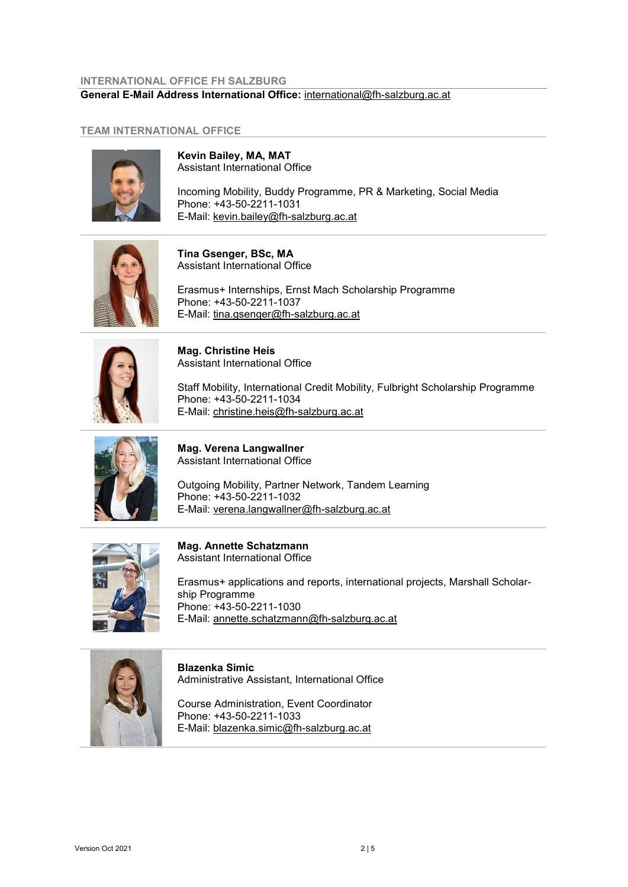## **INTERNATIONAL OFFICE FH SALZBURG General E-Mail Address International Office:** [international@fh-salzburg.ac.at](mailto:international@fh-salzburg.ac.at)

## **TEAM INTERNATIONAL OFFICE**



**Kevin Bailey, MA, MAT** Assistant International Office

Incoming Mobility, Buddy Programme, PR & Marketing, Social Media Phone: +43-50-2211-1031 E-Mail: [kevin.bailey@fh-salzburg.ac.at](mailto:kevin.bailey@fh-salzburg.ac.at)



**Tina Gsenger, BSc, MA** Assistant International Office

Erasmus+ Internships, Ernst Mach Scholarship Programme Phone: +43-50-2211-1037 E-Mail: [tina.gsenger@fh-salzburg.ac.at](mailto:tina.gsenger@fh-salzburg.ac.at)



**Mag. Christine Heis** Assistant International Office

Staff Mobility, International Credit Mobility, Fulbright Scholarship Programme Phone: +43-50-2211-1034 E-Mail: [christine.heis@fh-salzburg.ac.at](mailto:christine.heis@fh-salzburg.ac.at) 



**Mag. Verena Langwallner** Assistant International Office

Outgoing Mobility, Partner Network, Tandem Learning Phone: +43-50-2211-1032 E-Mail: [verena.langwallner@fh-salzburg.ac.at](mailto:verena.langwallner@fh-salzburg.ac.at)



**Mag. Annette Schatzmann** Assistant International Office

Erasmus+ applications and reports, international projects, Marshall Scholarship Programme Phone: +43-50-2211-1030 E-Mail: [annette.schatzmann@fh-salzburg.ac.at](mailto:annette.schatzmann@fh-salzburg.ac.at)



**Blazenka Simic** Administrative Assistant, International Office

Course Administration, Event Coordinator Phone: +43-50-2211-1033 E-Mail: [blazenka.simic@fh-salzburg.ac.at](mailto:blazenka.simic@fh-salzburg.ac.at)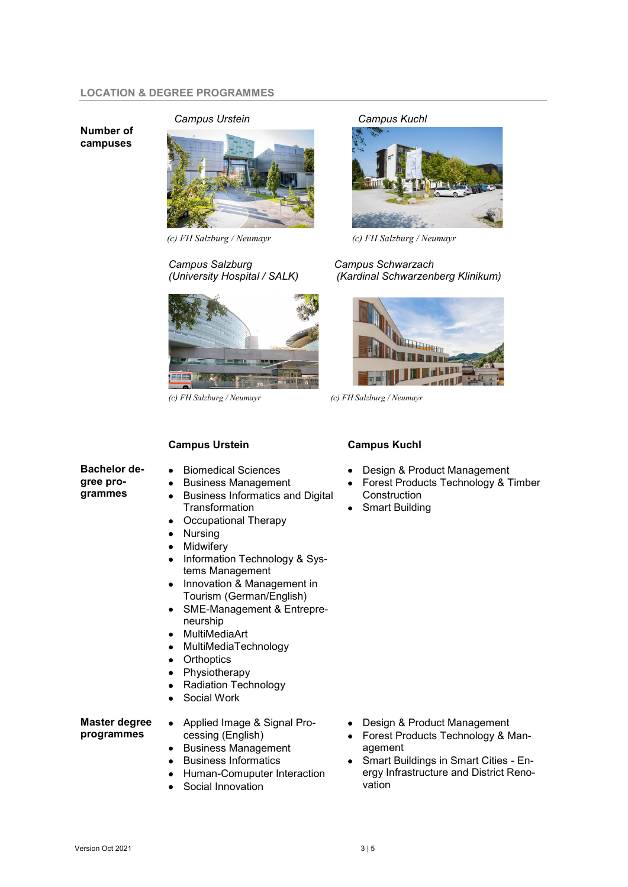#### **LOCATION & DEGREE PROGRAMMES**

**Number of campuses**

*Campus Urstein Campus Kuchl*



# *Campus Salzburg Campus Schwarzach*



### **Campus Urstein**

- **Bachelor degree programmes**
- Biomedical Sciences
- Business Management
	- Business Informatics and Digital **Transformation**
	- Occupational Therapy
- **Nursing**
- **Midwifery**
- Information Technology & Systems Management
- Innovation & Management in Tourism (German/English)
- SME-Management & Entrepreneurship
- MultiMediaArt
- MultiMediaTechnology
- **Orthoptics**
- **Physiotherapy**
- Radiation Technology
- Social Work

**Master degree programmes** 

## • Applied Image & Signal Processing (English)

- Business Management • Business Informatics
- 
- Human-Comuputer Interaction
- Social Innovation



*(c) FH Salzburg / Neumayr (c) FH Salzburg / Neumayr* 

*(University Hospital / SALK) (Kardinal Schwarzenberg Klinikum)*



*(c) FH Salzburg / Neumayr (c) FH Salzburg / Neumayr*

#### **Campus Kuchl**

- Design & Product Management
- Forest Products Technology & Timber **Construction**
- **Smart Building**

- Design & Product Management
- Forest Products Technology & Management
- Smart Buildings in Smart Cities Energy Infrastructure and District Renovation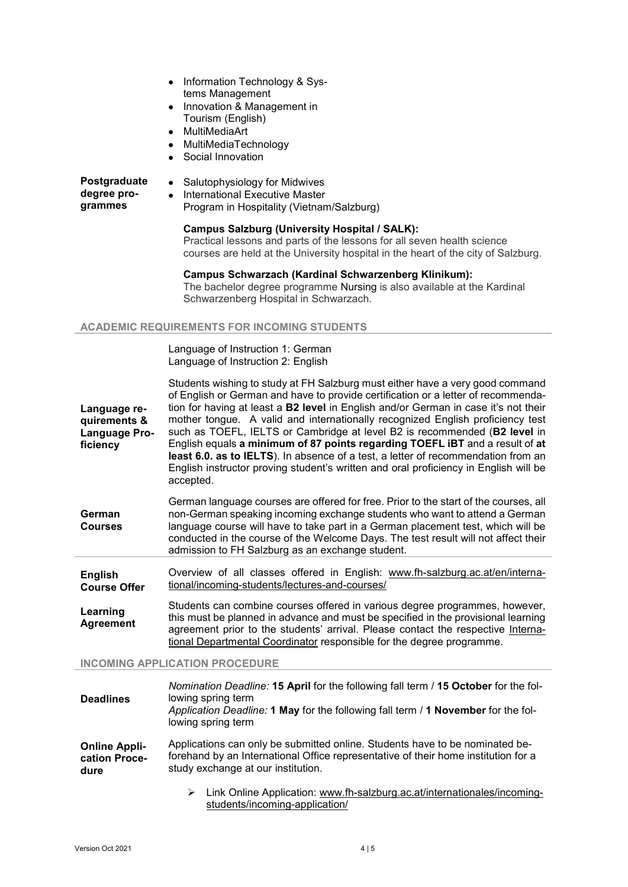- Information Technology & Systems Management
- Innovation & Management in Tourism (English)
- MultiMediaArt
- MultiMediaTechnology
- Social Innovation

**Postgraduate degree programmes** • Salutophysiology for Midwives • International Executive Master Program in Hospitality (Vietnam/Salzburg)

## **Campus Salzburg (University Hospital / SALK):**

Practical lessons and parts of the lessons for all seven health science courses are held at the University hospital in the heart of the city of Salzburg.

**Campus Schwarzach (Kardinal Schwarzenberg Klinikum):** The bachelor degree programme Nursing is also available at the Kardinal

Schwarzenberg Hospital in Schwarzach.

### **ACADEMIC REQUIREMENTS FOR INCOMING STUDENTS**

Language of Instruction 1: German Language of Instruction 2: English

| Language re-<br>quirements &<br>Language Pro-<br>ficiency | Students wishing to study at FH Salzburg must either have a very good command<br>of English or German and have to provide certification or a letter of recommenda-<br>tion for having at least a <b>B2 level</b> in English and/or German in case it's not their<br>mother tongue. A valid and internationally recognized English proficiency test<br>such as TOEFL, IELTS or Cambridge at level B2 is recommended (B2 level in<br>English equals a minimum of 87 points regarding TOEFL IBT and a result of at<br>least 6.0. as to IELTS). In absence of a test, a letter of recommendation from an<br>English instructor proving student's written and oral proficiency in English will be<br>accepted. |
|-----------------------------------------------------------|-----------------------------------------------------------------------------------------------------------------------------------------------------------------------------------------------------------------------------------------------------------------------------------------------------------------------------------------------------------------------------------------------------------------------------------------------------------------------------------------------------------------------------------------------------------------------------------------------------------------------------------------------------------------------------------------------------------|
|-----------------------------------------------------------|-----------------------------------------------------------------------------------------------------------------------------------------------------------------------------------------------------------------------------------------------------------------------------------------------------------------------------------------------------------------------------------------------------------------------------------------------------------------------------------------------------------------------------------------------------------------------------------------------------------------------------------------------------------------------------------------------------------|

|                | German language courses are offered for free. Prior to the start of the courses, all                                                                                   |
|----------------|------------------------------------------------------------------------------------------------------------------------------------------------------------------------|
| German         | non-German speaking incoming exchange students who want to attend a German                                                                                             |
| <b>Courses</b> | language course will have to take part in a German placement test, which will be<br>conducted in the course of the Welcome Days. The test result will not affect their |
|                | admission to FH Salzburg as an exchange student.                                                                                                                       |

**English Course Offer** Overview of all classes offered in English: [www.fh-salzburg.ac.at/en/interna](http://www.fh-salzburg.ac.at/en/international/incoming-students/lectures-and-courses/)[tional/incoming-students/lectures-and-courses/](http://www.fh-salzburg.ac.at/en/international/incoming-students/lectures-and-courses/)

**Learning Agreement** Students can combine courses offered in various degree programmes, however, this must be planned in advance and must be specified in the provisional learning agreement prior to the students' arrival. Please contact the respective [Interna](https://www.fh-salzburg.ac.at/en/international/international-office/international-coordinators/)[tional Departmental](https://www.fh-salzburg.ac.at/en/international/international-office/international-coordinators/) Coordinator responsible for the degree programme.

**INCOMING APPLICATION PROCEDURE**

| <b>Deadlines</b>                              | Nomination Deadline: 15 April for the following fall term / 15 October for the fol-<br>lowing spring term<br>Application Deadline: 1 May for the following fall term / 1 November for the fol-<br>lowing spring term |  |
|-----------------------------------------------|----------------------------------------------------------------------------------------------------------------------------------------------------------------------------------------------------------------------|--|
| <b>Online Appli-</b><br>cation Proce-<br>dure | Applications can only be submitted online. Students have to be nominated be-<br>forehand by an International Office representative of their home institution for a<br>study exchange at our institution.             |  |
|                                               | Link Online Application: www.fh-salzburg.ac.at/internationales/incoming-<br>➤<br>students/incoming-application/                                                                                                      |  |